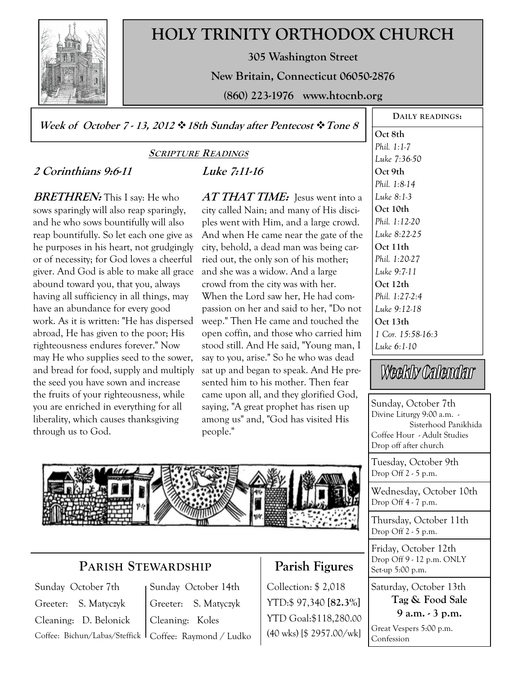

# **HOLY TRINITY ORTHODOX CHURCH**

**305 Washington Street** 

**New Britain, Connecticut 06050-2876** 

**(860) 223-1976 www.htocnb.org** 

**Week of October 7 - 13, 2012 18th Sunday after Pentecost Tone 8** 

### **2 Corinthians 9:6-11**

**BRETHREN:** This I say: He who sows sparingly will also reap sparingly, and he who sows bountifully will also reap bountifully. So let each one give as he purposes in his heart, not grudgingly or of necessity; for God loves a cheerful giver. And God is able to make all grace abound toward you, that you, always having all sufficiency in all things, may have an abundance for every good work. As it is written: "He has dispersed abroad, He has given to the poor; His righteousness endures forever." Now may He who supplies seed to the sower, and bread for food, supply and multiply the seed you have sown and increase the fruits of your righteousness, while you are enriched in everything for all liberality, which causes thanksgiving through us to God.

### **SCRIPTURE READINGS Luke 7:11-16**

**AT THAT TIME:** Jesus went into a city called Nain; and many of His disciples went with Him, and a large crowd. And when He came near the gate of the city, behold, a dead man was being carried out, the only son of his mother; and she was a widow. And a large crowd from the city was with her. When the Lord saw her, He had compassion on her and said to her, "Do not weep." Then He came and touched the open coffin, and those who carried him stood still. And He said, "Young man, I say to you, arise." So he who was dead sat up and began to speak. And He presented him to his mother. Then fear came upon all, and they glorified God, saying, "A great prophet has risen up among us" and, "God has visited His people."



## **PARISH STEWARDSHIP**

Sunday October 7th Greeter: S. Matyczyk Cleaning: D. Belonick Coffee: Bichun/Labas/Steffick

Sunday October 14th Greeter: S. Matyczyk Cleaning: Koles Coffee: Raymond / Ludko

# **Parish Figures**

Collection: \$ 2,018 YTD:\$ 97,340 **[82.3%]** YTD Goal:\$118,280.00 (40 wks) [\$ 2957.00/wk]

**DAILY READINGS: Oct 8th**  *Phil. 1:1-7 Luke 7:36-50*  **Oct 9th**  *Phil. 1:8-14 Luke 8:1-3*  **Oct 10th**  *Phil. 1:12-20 Luke 8:22-25*  **Oct 11th**  *Phil. 1:20-27 Luke 9:7-11*  **Oct 12th**  *Phil. 1:27-2:4 Luke 9:12-18*  **Oct 13th**  *1 Cor. 15:58-16:3 Luke 6:1-10* 

Weekly Calendar

Sunday, October 7th Divine Liturgy 9:00 a.m. - Sisterhood Panikhida Coffee Hour - Adult Studies Drop off after church

Tuesday, October 9th Drop Off 2 - 5 p.m.

Wednesday, October 10th Drop Off 4 - 7 p.m.

Thursday, October 11th Drop Off 2 - 5 p.m.

Friday, October 12th Drop Off 9 - 12 p.m. ONLY Set-up 5:00 p.m.

Saturday, October 13th **Tag & Food Sale 9 a.m. - 3 p.m.** 

Great Vespers 5:00 p.m. Confession